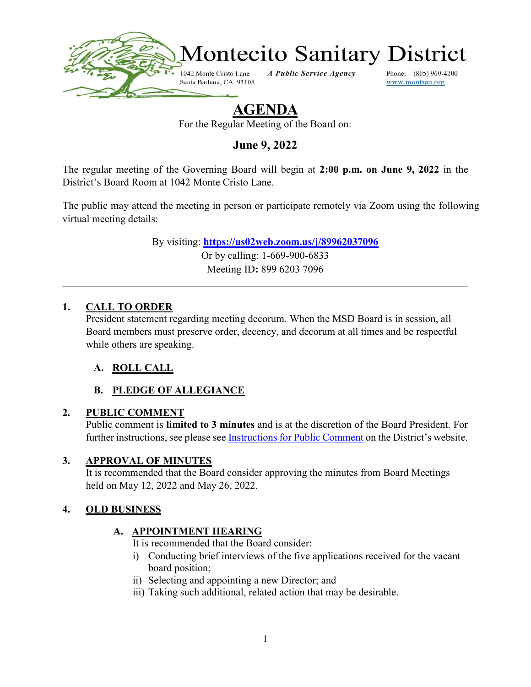

# AGENDA

For the Regular Meeting of the Board on:

June 9, 2022

The regular meeting of the Governing Board will begin at 2:00 p.m. on June 9, 2022 in the District's Board Room at 1042 Monte Cristo Lane.

The public may attend the meeting in person or participate remotely via Zoom using the following virtual meeting details:

> By visiting: https://us02web.zoom.us/j/89962037096 Or by calling: 1-669-900-6833 Meeting ID: 899 6203 7096

#### 1. CALL TO ORDER

President statement regarding meeting decorum. When the MSD Board is in session, all Board members must preserve order, decency, and decorum at all times and be respectful while others are speaking.

#### A. ROLL CALL

# B. PLEDGE OF ALLEGIANCE

#### 2. PUBLIC COMMENT

Public comment is limited to 3 minutes and is at the discretion of the Board President. For further instructions, see please see Instructions for Public Comment on the District's website.

#### 3. APPROVAL OF MINUTES

It is recommended that the Board consider approving the minutes from Board Meetings held on May 12, 2022 and May 26, 2022.

#### 4. OLD BUSINESS

#### A. APPOINTMENT HEARING

It is recommended that the Board consider:

- i) Conducting brief interviews of the five applications received for the vacant board position;
- ii) Selecting and appointing a new Director; and
- iii) Taking such additional, related action that may be desirable.